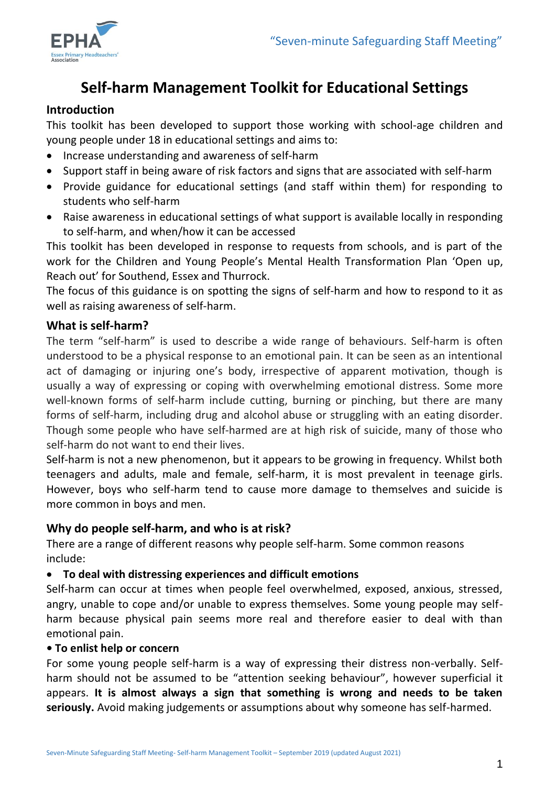

# **Self-harm Management Toolkit for Educational Settings**

### **Introduction**

This toolkit has been developed to support those working with school-age children and young people under 18 in educational settings and aims to:

- Increase understanding and awareness of self-harm
- Support staff in being aware of risk factors and signs that are associated with self-harm
- Provide guidance for educational settings (and staff within them) for responding to students who self-harm
- Raise awareness in educational settings of what support is available locally in responding to self-harm, and when/how it can be accessed

This toolkit has been developed in response to requests from schools, and is part of the work for the Children and Young People's Mental Health Transformation Plan 'Open up, Reach out' for Southend, Essex and Thurrock.

The focus of this guidance is on spotting the signs of self-harm and how to respond to it as well as raising awareness of self-harm.

#### **What is self-harm?**

The term "self-harm" is used to describe a wide range of behaviours. Self-harm is often understood to be a physical response to an emotional pain. It can be seen as an intentional act of damaging or injuring one's body, irrespective of apparent motivation, though is usually a way of expressing or coping with overwhelming emotional distress. Some more well-known forms of self-harm include cutting, burning or pinching, but there are many forms of self-harm, including drug and alcohol abuse or struggling with an eating disorder. Though some people who have self-harmed are at high risk of suicide, many of those who self-harm do not want to end their lives.

Self-harm is not a new phenomenon, but it appears to be growing in frequency. Whilst both teenagers and adults, male and female, self-harm, it is most prevalent in teenage girls. However, boys who self-harm tend to cause more damage to themselves and suicide is more common in boys and men.

### **Why do people self-harm, and who is at risk?**

There are a range of different reasons why people self-harm. Some common reasons include:

#### **To deal with distressing experiences and difficult emotions**

Self-harm can occur at times when people feel overwhelmed, exposed, anxious, stressed, angry, unable to cope and/or unable to express themselves. Some young people may selfharm because physical pain seems more real and therefore easier to deal with than emotional pain.

#### **• To enlist help or concern**

For some young people self-harm is a way of expressing their distress non-verbally. Selfharm should not be assumed to be "attention seeking behaviour", however superficial it appears. **It is almost always a sign that something is wrong and needs to be taken seriously.** Avoid making judgements or assumptions about why someone has self-harmed.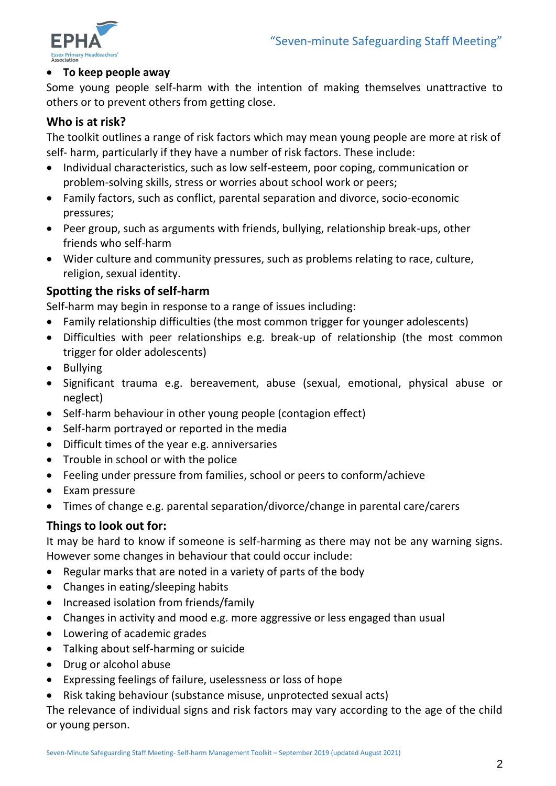

#### **To keep people away**

Some young people self-harm with the intention of making themselves unattractive to others or to prevent others from getting close.

## **Who is at risk?**

The toolkit outlines a range of risk factors which may mean young people are more at risk of self- harm, particularly if they have a number of risk factors. These include:

- Individual characteristics, such as low self-esteem, poor coping, communication or problem-solving skills, stress or worries about school work or peers;
- Family factors, such as conflict, parental separation and divorce, socio-economic pressures;
- Peer group, such as arguments with friends, bullying, relationship break-ups, other friends who self-harm
- Wider culture and community pressures, such as problems relating to race, culture, religion, sexual identity.

### **Spotting the risks of self-harm**

Self-harm may begin in response to a range of issues including:

- Family relationship difficulties (the most common trigger for younger adolescents)
- Difficulties with peer relationships e.g. break-up of relationship (the most common trigger for older adolescents)
- Bullying
- Significant trauma e.g. bereavement, abuse (sexual, emotional, physical abuse or neglect)
- Self-harm behaviour in other young people (contagion effect)
- Self-harm portrayed or reported in the media
- Difficult times of the year e.g. anniversaries
- Trouble in school or with the police
- Feeling under pressure from families, school or peers to conform/achieve
- Exam pressure
- Times of change e.g. parental separation/divorce/change in parental care/carers

### **Things to look out for:**

It may be hard to know if someone is self-harming as there may not be any warning signs. However some changes in behaviour that could occur include:

- Regular marks that are noted in a variety of parts of the body
- Changes in eating/sleeping habits
- Increased isolation from friends/family
- Changes in activity and mood e.g. more aggressive or less engaged than usual
- Lowering of academic grades
- Talking about self-harming or suicide
- Drug or alcohol abuse
- Expressing feelings of failure, uselessness or loss of hope
- Risk taking behaviour (substance misuse, unprotected sexual acts)

The relevance of individual signs and risk factors may vary according to the age of the child or young person.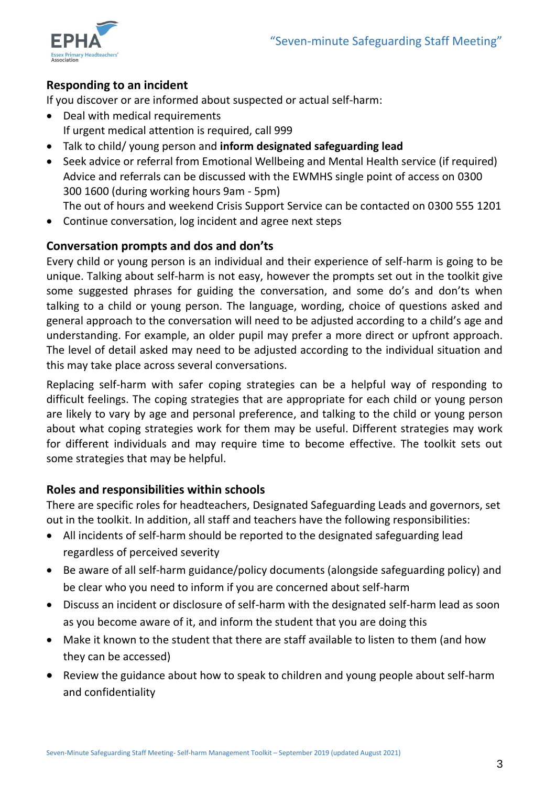

# **Responding to an incident**

If you discover or are informed about suspected or actual self-harm:

- Deal with medical requirements If urgent medical attention is required, call 999
- Talk to child/ young person and **inform designated safeguarding lead**
- Seek advice or referral from Emotional Wellbeing and Mental Health service (if required) Advice and referrals can be discussed with the EWMHS single point of access on 0300 300 1600 (during working hours 9am - 5pm)

The out of hours and weekend Crisis Support Service can be contacted on 0300 555 1201

Continue conversation, log incident and agree next steps

#### **Conversation prompts and dos and don'ts**

Every child or young person is an individual and their experience of self-harm is going to be unique. Talking about self-harm is not easy, however the prompts set out in the toolkit give some suggested phrases for guiding the conversation, and some do's and don'ts when talking to a child or young person. The language, wording, choice of questions asked and general approach to the conversation will need to be adjusted according to a child's age and understanding. For example, an older pupil may prefer a more direct or upfront approach. The level of detail asked may need to be adjusted according to the individual situation and this may take place across several conversations.

Replacing self-harm with safer coping strategies can be a helpful way of responding to difficult feelings. The coping strategies that are appropriate for each child or young person are likely to vary by age and personal preference, and talking to the child or young person about what coping strategies work for them may be useful. Different strategies may work for different individuals and may require time to become effective. The toolkit sets out some strategies that may be helpful.

### **Roles and responsibilities within schools**

There are specific roles for headteachers, Designated Safeguarding Leads and governors, set out in the toolkit. In addition, all staff and teachers have the following responsibilities:

- All incidents of self-harm should be reported to the designated safeguarding lead regardless of perceived severity
- Be aware of all self-harm guidance/policy documents (alongside safeguarding policy) and be clear who you need to inform if you are concerned about self-harm
- Discuss an incident or disclosure of self-harm with the designated self-harm lead as soon as you become aware of it, and inform the student that you are doing this
- Make it known to the student that there are staff available to listen to them (and how they can be accessed)
- Review the guidance about how to speak to children and young people about self-harm and confidentiality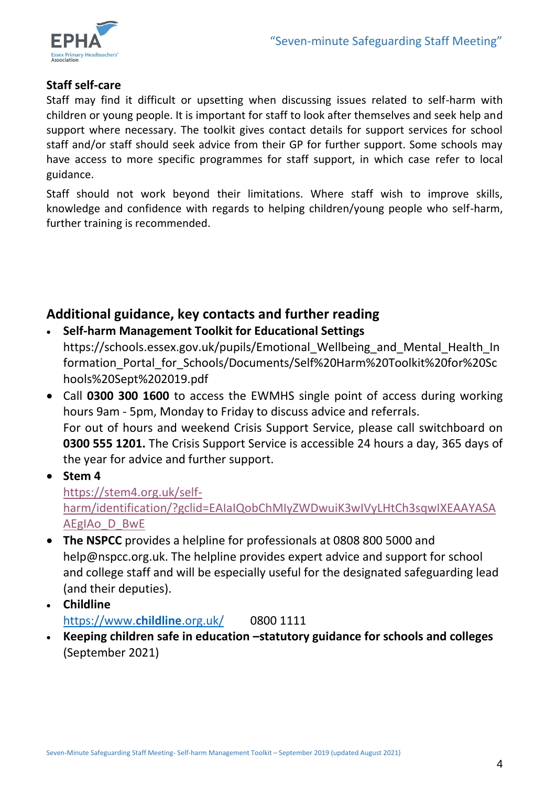

# **Staff self-care**

Staff may find it difficult or upsetting when discussing issues related to self-harm with children or young people. It is important for staff to look after themselves and seek help and support where necessary. The toolkit gives contact details for support services for school staff and/or staff should seek advice from their GP for further support. Some schools may have access to more specific programmes for staff support, in which case refer to local guidance.

Staff should not work beyond their limitations. Where staff wish to improve skills, knowledge and confidence with regards to helping children/young people who self-harm, further training is recommended.

# **Additional guidance, key contacts and further reading**

- **Self-harm Management Toolkit for Educational Settings**  https://schools.essex.gov.uk/pupils/Emotional Wellbeing and Mental Health In formation\_Portal\_for\_Schools/Documents/Self%20Harm%20Toolkit%20for%20Sc hools%20Sept%202019.pdf
- Call **0300 300 1600** to access the EWMHS single point of access during working hours 9am - 5pm, Monday to Friday to discuss advice and referrals. For out of hours and weekend Crisis Support Service, please call switchboard on **0300 555 1201.** The Crisis Support Service is accessible 24 hours a day, 365 days of the year for advice and further support.

**Stem 4**

[https://stem4.org.uk/self](https://stem4.org.uk/self-harm/identification/?gclid=EAIaIQobChMIyZWDwuiK3wIVyLHtCh3sqwIXEAAYASAAEgIAo_D_BwE)[harm/identification/?gclid=EAIaIQobChMIyZWDwuiK3wIVyLHtCh3sqwIXEAAYASA](https://stem4.org.uk/self-harm/identification/?gclid=EAIaIQobChMIyZWDwuiK3wIVyLHtCh3sqwIXEAAYASAAEgIAo_D_BwE) [AEgIAo\\_D\\_BwE](https://stem4.org.uk/self-harm/identification/?gclid=EAIaIQobChMIyZWDwuiK3wIVyLHtCh3sqwIXEAAYASAAEgIAo_D_BwE)

- **The NSPCC** provides a helpline for professionals at 0808 800 5000 and help@nspcc.org.uk. The helpline provides expert advice and support for school and college staff and will be especially useful for the designated safeguarding lead (and their deputies).
- **Childline** [https://www.](https://www.childline.org.uk/)**childline**.org.uk/ 0800 1111
- **Keeping children safe in education –statutory guidance for schools and colleges**  (September 2021)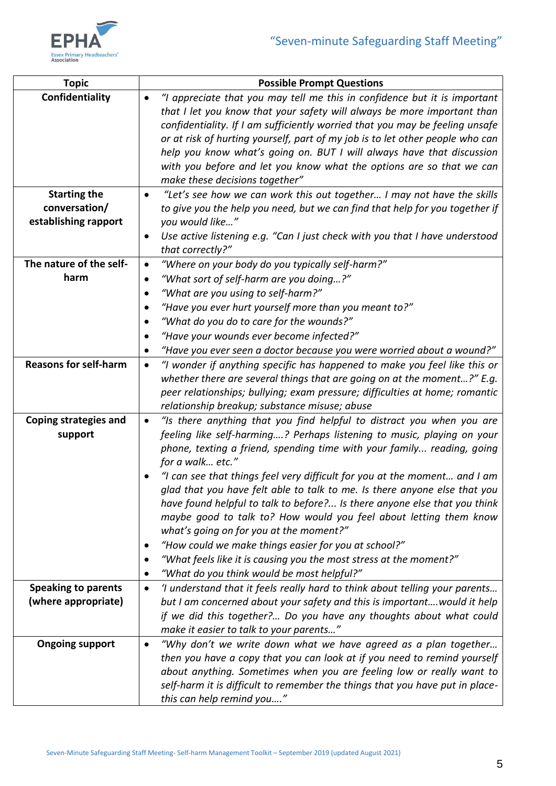

| <b>Topic</b>                 | <b>Possible Prompt Questions</b>                                                                                                                       |
|------------------------------|--------------------------------------------------------------------------------------------------------------------------------------------------------|
| Confidentiality              | "I appreciate that you may tell me this in confidence but it is important<br>$\bullet$                                                                 |
|                              | that I let you know that your safety will always be more important than                                                                                |
|                              | confidentiality. If I am sufficiently worried that you may be feeling unsafe                                                                           |
|                              | or at risk of hurting yourself, part of my job is to let other people who can                                                                          |
|                              | help you know what's going on. BUT I will always have that discussion                                                                                  |
|                              | with you before and let you know what the options are so that we can                                                                                   |
|                              | make these decisions together"                                                                                                                         |
| <b>Starting the</b>          | "Let's see how we can work this out together I may not have the skills<br>$\bullet$                                                                    |
| conversation/                | to give you the help you need, but we can find that help for you together if                                                                           |
| establishing rapport         | you would like"                                                                                                                                        |
|                              | Use active listening e.g. "Can I just check with you that I have understood<br>$\bullet$                                                               |
|                              | that correctly?"                                                                                                                                       |
| The nature of the self-      | "Where on your body do you typically self-harm?"<br>$\bullet$                                                                                          |
| harm                         | "What sort of self-harm are you doing?"<br>$\bullet$                                                                                                   |
|                              | "What are you using to self-harm?"<br>$\bullet$                                                                                                        |
|                              | "Have you ever hurt yourself more than you meant to?"<br>٠                                                                                             |
|                              | "What do you do to care for the wounds?"<br>$\bullet$                                                                                                  |
|                              | "Have your wounds ever become infected?"                                                                                                               |
|                              | "Have you ever seen a doctor because you were worried about a wound?"<br>٠                                                                             |
| <b>Reasons for self-harm</b> | "I wonder if anything specific has happened to make you feel like this or<br>$\bullet$                                                                 |
|                              | whether there are several things that are going on at the moment?" E.g.                                                                                |
|                              | peer relationships; bullying; exam pressure; difficulties at home; romantic                                                                            |
|                              | relationship breakup; substance misuse; abuse                                                                                                          |
| <b>Coping strategies and</b> | "Is there anything that you find helpful to distract you when you are<br>$\bullet$                                                                     |
| support                      | feeling like self-harming? Perhaps listening to music, playing on your                                                                                 |
|                              | phone, texting a friend, spending time with your family reading, going                                                                                 |
|                              | for a walk etc."                                                                                                                                       |
|                              | "I can see that things feel very difficult for you at the moment and I am                                                                              |
|                              | glad that you have felt able to talk to me. Is there anyone else that you<br>have found helpful to talk to before? Is there anyone else that you think |
|                              | maybe good to talk to? How would you feel about letting them know                                                                                      |
|                              | what's going on for you at the moment?"                                                                                                                |
|                              | "How could we make things easier for you at school?"<br>$\bullet$                                                                                      |
|                              | "What feels like it is causing you the most stress at the moment?"                                                                                     |
|                              | "What do you think would be most helpful?"<br>$\bullet$                                                                                                |
| <b>Speaking to parents</b>   | 'I understand that it feels really hard to think about telling your parents<br>$\bullet$                                                               |
| (where appropriate)          | but I am concerned about your safety and this is important would it help                                                                               |
|                              | if we did this together? Do you have any thoughts about what could                                                                                     |
|                              | make it easier to talk to your parents"                                                                                                                |
| <b>Ongoing support</b>       | "Why don't we write down what we have agreed as a plan together<br>$\bullet$                                                                           |
|                              | then you have a copy that you can look at if you need to remind yourself                                                                               |
|                              | about anything. Sometimes when you are feeling low or really want to                                                                                   |
|                              | self-harm it is difficult to remember the things that you have put in place-                                                                           |
|                              | this can help remind you"                                                                                                                              |